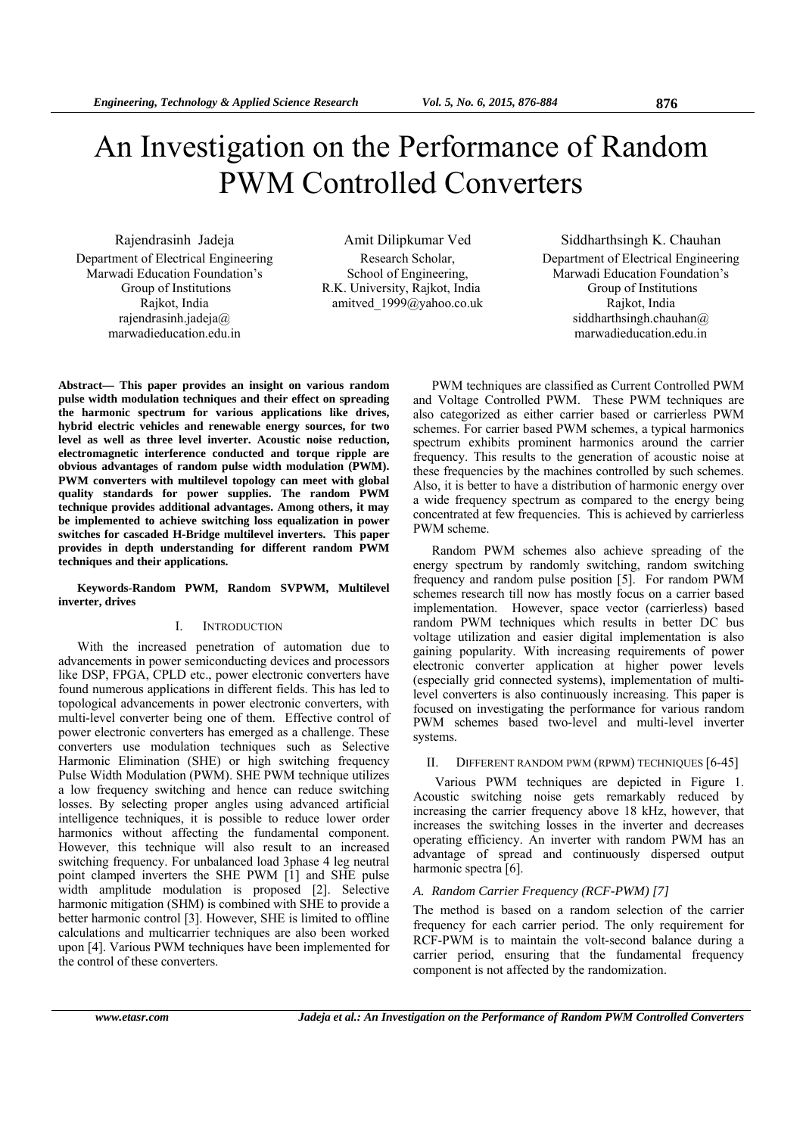# An Investigation on the Performance of Random PWM Controlled Converters

Rajendrasinh Jadeja Department of Electrical Engineering Marwadi Education Foundation's Group of Institutions Rajkot, India rajendrasinh.jadeja@ marwadieducation.edu.in

Amit Dilipkumar Ved Research Scholar, School of Engineering, R.K. University, Rajkot, India amitved\_1999@yahoo.co.uk

Siddharthsingh K. Chauhan Department of Electrical Engineering Marwadi Education Foundation's Group of Institutions Rajkot, India siddharthsingh.chauhan@ marwadieducation.edu.in

**Abstract— This paper provides an insight on various random pulse width modulation techniques and their effect on spreading the harmonic spectrum for various applications like drives, hybrid electric vehicles and renewable energy sources, for two level as well as three level inverter. Acoustic noise reduction, electromagnetic interference conducted and torque ripple are obvious advantages of random pulse width modulation (PWM). PWM converters with multilevel topology can meet with global quality standards for power supplies. The random PWM technique provides additional advantages. Among others, it may be implemented to achieve switching loss equalization in power switches for cascaded H-Bridge multilevel inverters. This paper provides in depth understanding for different random PWM techniques and their applications.** 

## **Keywords-Random PWM, Random SVPWM, Multilevel inverter, drives**

## I. INTRODUCTION

With the increased penetration of automation due to advancements in power semiconducting devices and processors like DSP, FPGA, CPLD etc., power electronic converters have found numerous applications in different fields. This has led to topological advancements in power electronic converters, with multi-level converter being one of them. Effective control of power electronic converters has emerged as a challenge. These converters use modulation techniques such as Selective Harmonic Elimination (SHE) or high switching frequency Pulse Width Modulation (PWM). SHE PWM technique utilizes a low frequency switching and hence can reduce switching losses. By selecting proper angles using advanced artificial intelligence techniques, it is possible to reduce lower order harmonics without affecting the fundamental component. However, this technique will also result to an increased switching frequency. For unbalanced load 3phase 4 leg neutral point clamped inverters the SHE PWM [1] and SHE pulse width amplitude modulation is proposed [2]. Selective harmonic mitigation (SHM) is combined with SHE to provide a better harmonic control [3]. However, SHE is limited to offline calculations and multicarrier techniques are also been worked upon [4]. Various PWM techniques have been implemented for the control of these converters.

PWM techniques are classified as Current Controlled PWM and Voltage Controlled PWM. These PWM techniques are also categorized as either carrier based or carrierless PWM schemes. For carrier based PWM schemes, a typical harmonics spectrum exhibits prominent harmonics around the carrier frequency. This results to the generation of acoustic noise at these frequencies by the machines controlled by such schemes. Also, it is better to have a distribution of harmonic energy over a wide frequency spectrum as compared to the energy being concentrated at few frequencies. This is achieved by carrierless PWM scheme.

Random PWM schemes also achieve spreading of the energy spectrum by randomly switching, random switching frequency and random pulse position [5]. For random PWM schemes research till now has mostly focus on a carrier based implementation. However, space vector (carrierless) based random PWM techniques which results in better DC bus voltage utilization and easier digital implementation is also gaining popularity. With increasing requirements of power electronic converter application at higher power levels (especially grid connected systems), implementation of multilevel converters is also continuously increasing. This paper is focused on investigating the performance for various random PWM schemes based two-level and multi-level inverter systems.

## II. DIFFERENT RANDOM PWM (RPWM) TECHNIQUES [6-45]

 Various PWM techniques are depicted in Figure 1. Acoustic switching noise gets remarkably reduced by increasing the carrier frequency above 18 kHz, however, that increases the switching losses in the inverter and decreases operating efficiency. An inverter with random PWM has an advantage of spread and continuously dispersed output harmonic spectra [6].

## *A. Random Carrier Frequency (RCF-PWM) [7]*

The method is based on a random selection of the carrier frequency for each carrier period. The only requirement for RCF-PWM is to maintain the volt-second balance during a carrier period, ensuring that the fundamental frequency component is not affected by the randomization.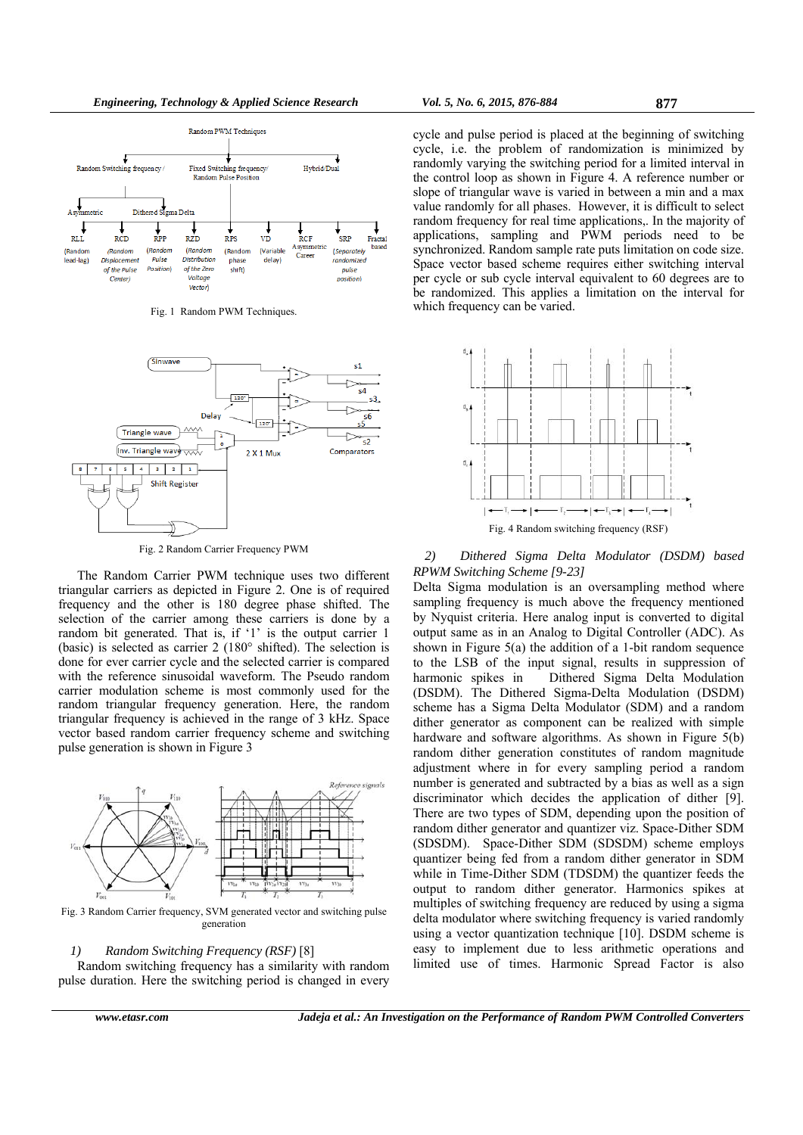

Fig. 1 Random PWM Techniques.



Fig. 2 Random Carrier Frequency PWM

The Random Carrier PWM technique uses two different triangular carriers as depicted in Figure 2. One is of required frequency and the other is 180 degree phase shifted. The selection of the carrier among these carriers is done by a random bit generated. That is, if '1' is the output carrier 1 (basic) is selected as carrier 2 (180° shifted). The selection is done for ever carrier cycle and the selected carrier is compared with the reference sinusoidal waveform. The Pseudo random carrier modulation scheme is most commonly used for the random triangular frequency generation. Here, the random triangular frequency is achieved in the range of 3 kHz. Space vector based random carrier frequency scheme and switching pulse generation is shown in Figure 3



Fig. 3 Random Carrier frequency, SVM generated vector and switching pulse generation

## *1) Random Switching Frequency (RSF)* [8]

Random switching frequency has a similarity with random pulse duration. Here the switching period is changed in every cycle and pulse period is placed at the beginning of switching cycle, i.e. the problem of randomization is minimized by randomly varying the switching period for a limited interval in the control loop as shown in Figure 4. A reference number or slope of triangular wave is varied in between a min and a max value randomly for all phases. However, it is difficult to select random frequency for real time applications,. In the majority of applications, sampling and PWM periods need to be synchronized. Random sample rate puts limitation on code size. Space vector based scheme requires either switching interval per cycle or sub cycle interval equivalent to 60 degrees are to be randomized. This applies a limitation on the interval for which frequency can be varied.



*2) Dithered Sigma Delta Modulator (DSDM) based RPWM Switching Scheme [9-23]* 

Delta Sigma modulation is an oversampling method where sampling frequency is much above the frequency mentioned by Nyquist criteria. Here analog input is converted to digital output same as in an Analog to Digital Controller (ADC). As shown in Figure 5(a) the addition of a 1-bit random sequence to the LSB of the input signal, results in suppression of harmonic spikes in Dithered Sigma Delta Modulation (DSDM). The Dithered Sigma-Delta Modulation (DSDM) scheme has a Sigma Delta Modulator (SDM) and a random dither generator as component can be realized with simple hardware and software algorithms. As shown in Figure 5(b) random dither generation constitutes of random magnitude adjustment where in for every sampling period a random number is generated and subtracted by a bias as well as a sign discriminator which decides the application of dither [9]. There are two types of SDM, depending upon the position of random dither generator and quantizer viz. Space-Dither SDM (SDSDM). Space-Dither SDM (SDSDM) scheme employs quantizer being fed from a random dither generator in SDM while in Time-Dither SDM (TDSDM) the quantizer feeds the output to random dither generator. Harmonics spikes at multiples of switching frequency are reduced by using a sigma delta modulator where switching frequency is varied randomly using a vector quantization technique [10]. DSDM scheme is easy to implement due to less arithmetic operations and limited use of times. Harmonic Spread Factor is also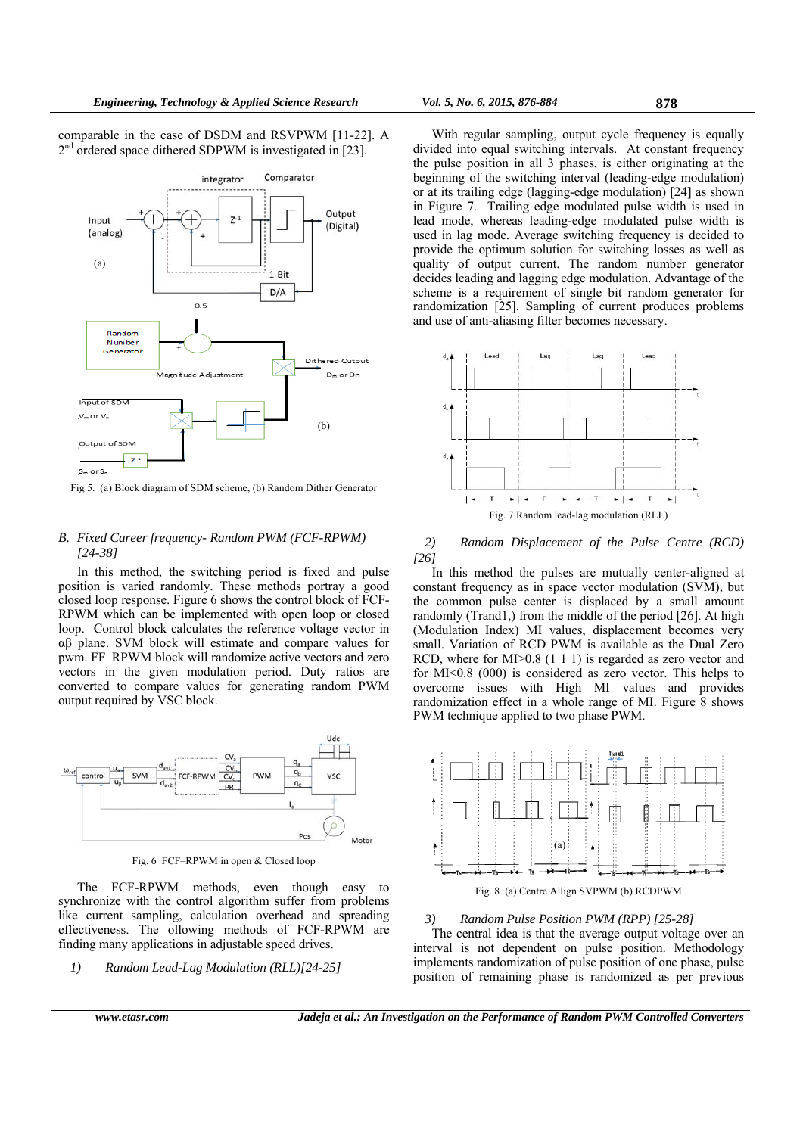comparable in the case of DSDM and RSVPWM [11-22]. A  $2<sup>nd</sup>$  ordered space dithered SDPWM is investigated in [23].



Fig 5. (a) Block diagram of SDM scheme, (b) Random Dither Generator

## *B. Fixed Career frequency- Random PWM (FCF-RPWM) [24-38]*

In this method, the switching period is fixed and pulse position is varied randomly. These methods portray a good closed loop response. Figure 6 shows the control block of FCF-RPWM which can be implemented with open loop or closed loop. Control block calculates the reference voltage vector in αβ plane. SVM block will estimate and compare values for pwm. FF\_RPWM block will randomize active vectors and zero vectors in the given modulation period. Duty ratios are converted to compare values for generating random PWM output required by VSC block.



Fig. 6 FCF–RPWM in open & Closed loop

The FCF-RPWM methods, even though easy to synchronize with the control algorithm suffer from problems like current sampling, calculation overhead and spreading effectiveness. The ollowing methods of FCF-RPWM are finding many applications in adjustable speed drives.

*1) Random Lead-Lag Modulation (RLL)[24-25]* 

With regular sampling, output cycle frequency is equally divided into equal switching intervals. At constant frequency the pulse position in all 3 phases, is either originating at the beginning of the switching interval (leading-edge modulation) or at its trailing edge (lagging-edge modulation) [24] as shown in Figure 7. Trailing edge modulated pulse width is used in lead mode, whereas leading-edge modulated pulse width is used in lag mode. Average switching frequency is decided to provide the optimum solution for switching losses as well as quality of output current. The random number generator decides leading and lagging edge modulation. Advantage of the scheme is a requirement of single bit random generator for randomization [25]. Sampling of current produces problems and use of anti-aliasing filter becomes necessary.



## *2) Random Displacement of the Pulse Centre (RCD) [26]*

In this method the pulses are mutually center-aligned at constant frequency as in space vector modulation (SVM), but the common pulse center is displaced by a small amount randomly (Trand1,) from the middle of the period [26]. At high (Modulation Index) MI values, displacement becomes very small. Variation of RCD PWM is available as the Dual Zero RCD, where for MI $> 0.8$  (1 1 1) is regarded as zero vector and for MI<0.8 (000) is considered as zero vector. This helps to overcome issues with High MI values and provides randomization effect in a whole range of MI. Figure 8 shows PWM technique applied to two phase PWM.



## *3) Random Pulse Position PWM (RPP) [25-28]*

The central idea is that the average output voltage over an interval is not dependent on pulse position. Methodology implements randomization of pulse position of one phase, pulse position of remaining phase is randomized as per previous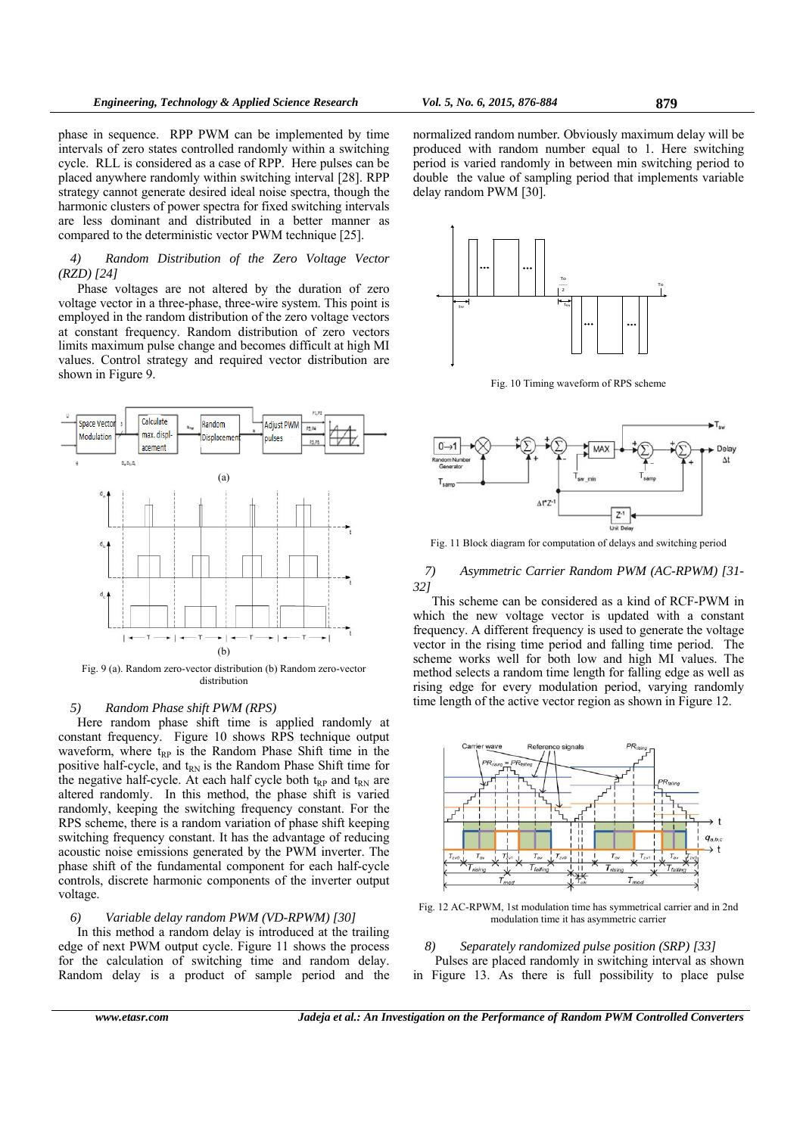phase in sequence. RPP PWM can be implemented by time intervals of zero states controlled randomly within a switching cycle. RLL is considered as a case of RPP. Here pulses can be placed anywhere randomly within switching interval [28]. RPP strategy cannot generate desired ideal noise spectra, though the harmonic clusters of power spectra for fixed switching intervals are less dominant and distributed in a better manner as compared to the deterministic vector PWM technique [25].

*4) Random Distribution of the Zero Voltage Vector (RZD) [24]*

Phase voltages are not altered by the duration of zero voltage vector in a three-phase, three-wire system. This point is employed in the random distribution of the zero voltage vectors at constant frequency. Random distribution of zero vectors limits maximum pulse change and becomes difficult at high MI values. Control strategy and required vector distribution are shown in Figure 9.



Fig. 9 (a). Random zero-vector distribution (b) Random zero-vector distribution

## *5) Random Phase shift PWM (RPS)*

Here random phase shift time is applied randomly at constant frequency. Figure 10 shows RPS technique output waveform, where  $t_{RP}$  is the Random Phase Shift time in the positive half-cycle, and t<sub>RN</sub> is the Random Phase Shift time for the negative half-cycle. At each half cycle both  $t_{RP}$  and  $t_{RN}$  are altered randomly. In this method, the phase shift is varied randomly, keeping the switching frequency constant. For the RPS scheme, there is a random variation of phase shift keeping switching frequency constant. It has the advantage of reducing acoustic noise emissions generated by the PWM inverter. The phase shift of the fundamental component for each half-cycle controls, discrete harmonic components of the inverter output voltage.

#### *6) Variable delay random PWM (VD-RPWM) [30]*

In this method a random delay is introduced at the trailing edge of next PWM output cycle. Figure 11 shows the process for the calculation of switching time and random delay. Random delay is a product of sample period and the

normalized random number*.* Obviously maximum delay will be produced with random number equal to 1. Here switching period is varied randomly in between min switching period to double the value of sampling period that implements variable delay random PWM [30].



Fig. 10 Timing waveform of RPS scheme



Fig. 11 Block diagram for computation of delays and switching period

## *7) Asymmetric Carrier Random PWM (AC-RPWM) [31- 32]*

This scheme can be considered as a kind of RCF-PWM in which the new voltage vector is updated with a constant frequency. A different frequency is used to generate the voltage vector in the rising time period and falling time period. The scheme works well for both low and high MI values. The method selects a random time length for falling edge as well as rising edge for every modulation period, varying randomly time length of the active vector region as shown in Figure 12.



Fig. 12 AC-RPWM, 1st modulation time has symmetrical carrier and in 2nd modulation time it has asymmetric carrier

#### *8) Separately randomized pulse position (SRP) [33]*

 Pulses are placed randomly in switching interval as shown in Figure 13. As there is full possibility to place pulse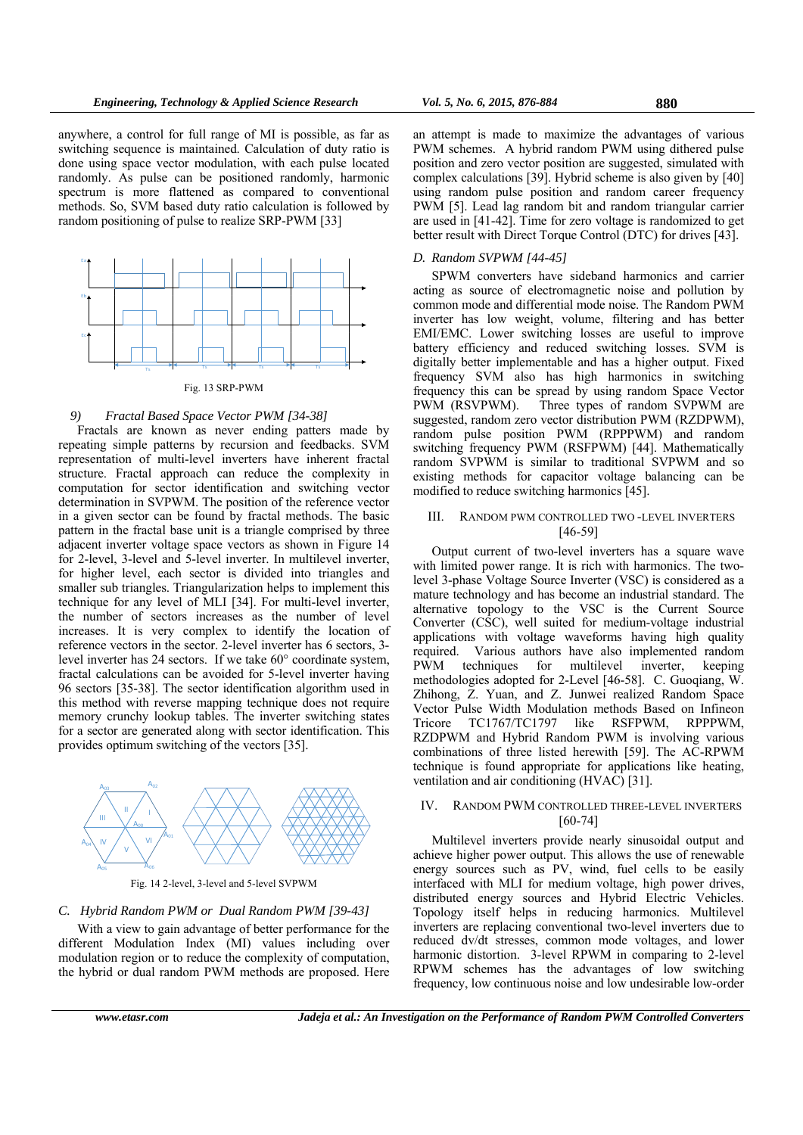anywhere, a control for full range of MI is possible, as far as switching sequence is maintained. Calculation of duty ratio is done using space vector modulation, with each pulse located randomly. As pulse can be positioned randomly, harmonic spectrum is more flattened as compared to conventional methods. So, SVM based duty ratio calculation is followed by random positioning of pulse to realize SRP-PWM [33]



#### Fig. 13 SRP-PWM

### *9) Fractal Based Space Vector PWM [34-38]*

Fractals are known as never ending patters made by repeating simple patterns by recursion and feedbacks. SVM representation of multi-level inverters have inherent fractal structure. Fractal approach can reduce the complexity in computation for sector identification and switching vector determination in SVPWM. The position of the reference vector in a given sector can be found by fractal methods. The basic pattern in the fractal base unit is a triangle comprised by three adjacent inverter voltage space vectors as shown in Figure 14 for 2-level, 3-level and 5-level inverter. In multilevel inverter, for higher level, each sector is divided into triangles and smaller sub triangles. Triangularization helps to implement this technique for any level of MLI [34]. For multi-level inverter, the number of sectors increases as the number of level increases. It is very complex to identify the location of reference vectors in the sector. 2-level inverter has 6 sectors, 3 level inverter has 24 sectors. If we take 60° coordinate system, fractal calculations can be avoided for 5-level inverter having 96 sectors [35-38]. The sector identification algorithm used in this method with reverse mapping technique does not require memory crunchy lookup tables. The inverter switching states for a sector are generated along with sector identification. This provides optimum switching of the vectors [35].



Fig. 14 2-level, 3-level and 5-level SVPWM

## *C. Hybrid Random PWM or Dual Random PWM [39-43]*

With a view to gain advantage of better performance for the different Modulation Index (MI) values including over modulation region or to reduce the complexity of computation, the hybrid or dual random PWM methods are proposed. Here

an attempt is made to maximize the advantages of various PWM schemes. A hybrid random PWM using dithered pulse position and zero vector position are suggested, simulated with complex calculations [39]. Hybrid scheme is also given by [40] using random pulse position and random career frequency PWM [5]. Lead lag random bit and random triangular carrier are used in [41-42]. Time for zero voltage is randomized to get better result with Direct Torque Control (DTC) for drives [43].

## *D. Random SVPWM [44-45]*

SPWM converters have sideband harmonics and carrier acting as source of electromagnetic noise and pollution by common mode and differential mode noise. The Random PWM inverter has low weight, volume, filtering and has better EMI/EMC. Lower switching losses are useful to improve battery efficiency and reduced switching losses. SVM is digitally better implementable and has a higher output. Fixed frequency SVM also has high harmonics in switching frequency this can be spread by using random Space Vector PWM (RSVPWM). Three types of random SVPWM are suggested, random zero vector distribution PWM (RZDPWM), random pulse position PWM (RPPPWM) and random switching frequency PWM (RSFPWM) [44]. Mathematically random SVPWM is similar to traditional SVPWM and so existing methods for capacitor voltage balancing can be modified to reduce switching harmonics [45].

## III. RANDOM PWM CONTROLLED TWO -LEVEL INVERTERS [46-59]

Output current of two-level inverters has a square wave with limited power range. It is rich with harmonics. The twolevel 3-phase Voltage Source Inverter (VSC) is considered as a mature technology and has become an industrial standard. The alternative topology to the VSC is the Current Source Converter (CSC), well suited for medium-voltage industrial applications with voltage waveforms having high quality required. Various authors have also implemented random PWM techniques for multilevel inverter, keeping methodologies adopted for 2-Level [46-58]. C. Guoqiang, W. Zhihong, Z. Yuan, and Z. Junwei realized Random Space Vector Pulse Width Modulation methods Based on Infineon Tricore TC1767/TC1797 like RSFPWM, RPPPWM, RZDPWM and Hybrid Random PWM is involving various combinations of three listed herewith [59]. The AC-RPWM technique is found appropriate for applications like heating, ventilation and air conditioning (HVAC) [31].

## IV. RANDOM PWM CONTROLLED THREE-LEVEL INVERTERS [60-74]

Multilevel inverters provide nearly sinusoidal output and achieve higher power output. This allows the use of renewable energy sources such as PV, wind, fuel cells to be easily interfaced with MLI for medium voltage, high power drives, distributed energy sources and Hybrid Electric Vehicles. Topology itself helps in reducing harmonics. Multilevel inverters are replacing conventional two-level inverters due to reduced dv/dt stresses, common mode voltages, and lower harmonic distortion. 3-level RPWM in comparing to 2-level RPWM schemes has the advantages of low switching frequency, low continuous noise and low undesirable low-order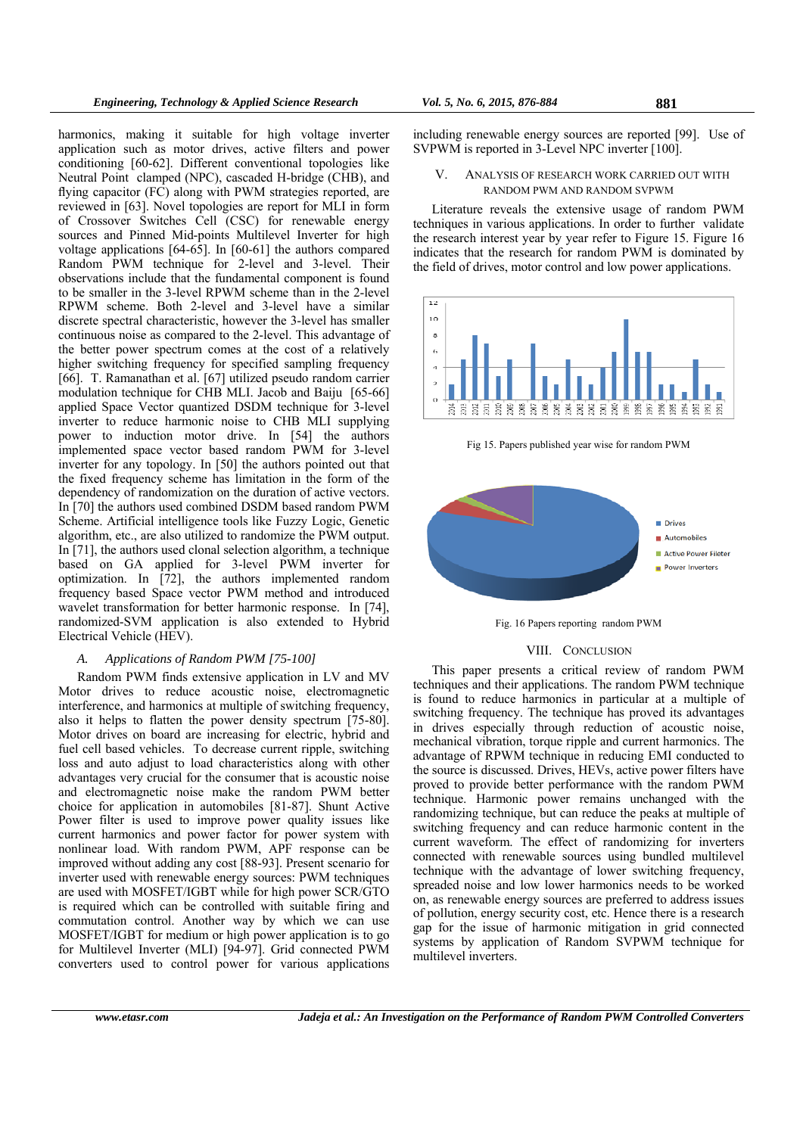harmonics, making it suitable for high voltage inverter application such as motor drives, active filters and power conditioning [60-62]. Different conventional topologies like Neutral Point clamped (NPC), cascaded H-bridge (CHB), and flying capacitor (FC) along with PWM strategies reported, are reviewed in [63]. Novel topologies are report for MLI in form of Crossover Switches Cell (CSC) for renewable energy sources and Pinned Mid-points Multilevel Inverter for high voltage applications [64-65]. In [60-61] the authors compared Random PWM technique for 2-level and 3-level. Their observations include that the fundamental component is found to be smaller in the 3-level RPWM scheme than in the 2-level RPWM scheme. Both 2-level and 3-level have a similar discrete spectral characteristic, however the 3-level has smaller continuous noise as compared to the 2-level. This advantage of the better power spectrum comes at the cost of a relatively higher switching frequency for specified sampling frequency [66]. T. Ramanathan et al. [67] utilized pseudo random carrier modulation technique for CHB MLI. Jacob and Baiju [65-66] applied Space Vector quantized DSDM technique for 3-level inverter to reduce harmonic noise to CHB MLI supplying power to induction motor drive. In [54] the authors implemented space vector based random PWM for 3-level inverter for any topology. In [50] the authors pointed out that the fixed frequency scheme has limitation in the form of the dependency of randomization on the duration of active vectors. In [70] the authors used combined DSDM based random PWM Scheme. Artificial intelligence tools like Fuzzy Logic, Genetic algorithm, etc., are also utilized to randomize the PWM output. In [71], the authors used clonal selection algorithm, a technique based on GA applied for 3-level PWM inverter for optimization. In [72], the authors implemented random frequency based Space vector PWM method and introduced wavelet transformation for better harmonic response. In [74], randomized-SVM application is also extended to Hybrid Electrical Vehicle (HEV).

# *A. Applications of Random PWM [75-100]*

Random PWM finds extensive application in LV and MV Motor drives to reduce acoustic noise, electromagnetic interference, and harmonics at multiple of switching frequency, also it helps to flatten the power density spectrum [75-80]. Motor drives on board are increasing for electric, hybrid and fuel cell based vehicles. To decrease current ripple, switching loss and auto adjust to load characteristics along with other advantages very crucial for the consumer that is acoustic noise and electromagnetic noise make the random PWM better choice for application in automobiles [81-87]. Shunt Active Power filter is used to improve power quality issues like current harmonics and power factor for power system with nonlinear load. With random PWM, APF response can be improved without adding any cost [88-93]. Present scenario for inverter used with renewable energy sources: PWM techniques are used with MOSFET/IGBT while for high power SCR/GTO is required which can be controlled with suitable firing and commutation control. Another way by which we can use MOSFET/IGBT for medium or high power application is to go for Multilevel Inverter (MLI) [94-97]. Grid connected PWM converters used to control power for various applications

including renewable energy sources are reported [99]. Use of SVPWM is reported in 3-Level NPC inverter [100].

## V. ANALYSIS OF RESEARCH WORK CARRIED OUT WITH RANDOM PWM AND RANDOM SVPWM

Literature reveals the extensive usage of random PWM techniques in various applications. In order to further validate the research interest year by year refer to Figure 15. Figure 16 indicates that the research for random PWM is dominated by the field of drives, motor control and low power applications.



Fig 15. Papers published year wise for random PWM



Fig. 16 Papers reporting random PWM

#### VIII. CONCLUSION

This paper presents a critical review of random PWM techniques and their applications. The random PWM technique is found to reduce harmonics in particular at a multiple of switching frequency. The technique has proved its advantages in drives especially through reduction of acoustic noise, mechanical vibration, torque ripple and current harmonics. The advantage of RPWM technique in reducing EMI conducted to the source is discussed. Drives, HEVs, active power filters have proved to provide better performance with the random PWM technique. Harmonic power remains unchanged with the randomizing technique, but can reduce the peaks at multiple of switching frequency and can reduce harmonic content in the current waveform. The effect of randomizing for inverters connected with renewable sources using bundled multilevel technique with the advantage of lower switching frequency, spreaded noise and low lower harmonics needs to be worked on, as renewable energy sources are preferred to address issues of pollution, energy security cost, etc. Hence there is a research gap for the issue of harmonic mitigation in grid connected systems by application of Random SVPWM technique for multilevel inverters.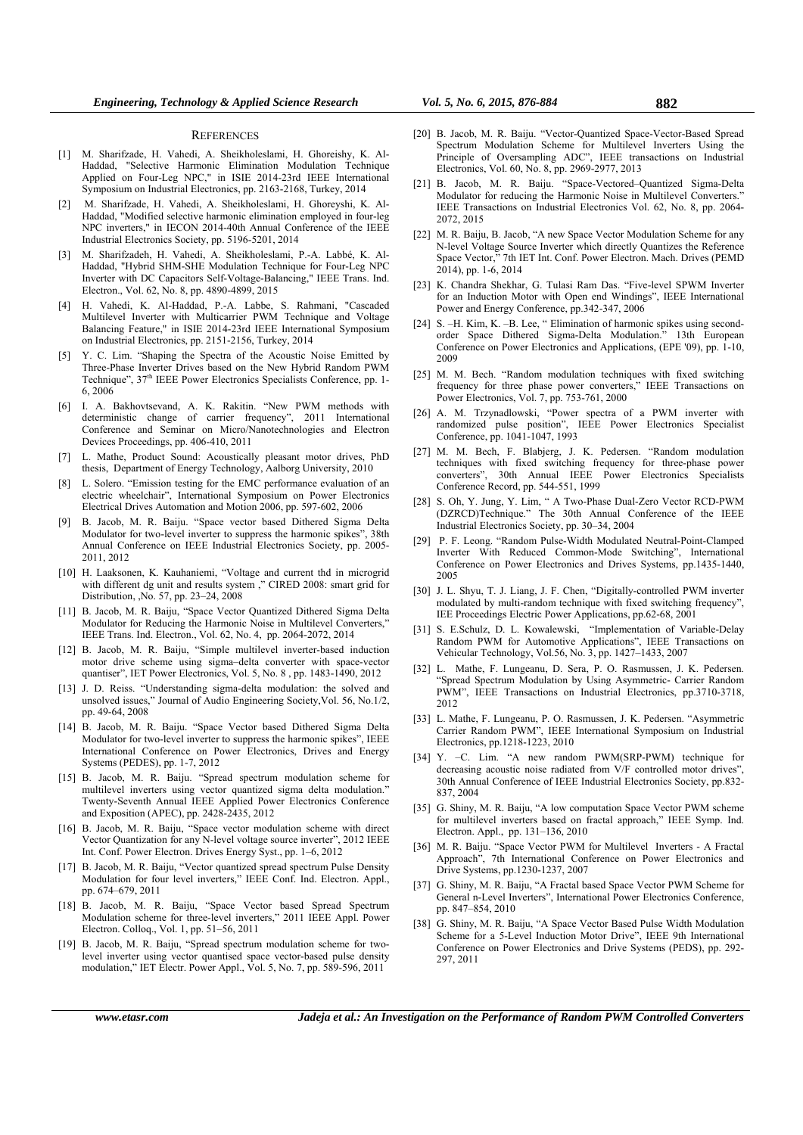#### **REFERENCES**

- [1] M. Sharifzade, H. Vahedi, A. Sheikholeslami, H. Ghoreishy, K. Al-Haddad, "Selective Harmonic Elimination Modulation Technique Applied on Four-Leg NPC," in ISIE 2014-23rd IEEE International Symposium on Industrial Electronics, pp. 2163-2168, Turkey, 2014
- [2] M. Sharifzade, H. Vahedi, A. Sheikholeslami, H. Ghoreyshi, K. Al-Haddad, "Modified selective harmonic elimination employed in four-leg NPC inverters," in IECON 2014-40th Annual Conference of the IEEE Industrial Electronics Society, pp. 5196-5201, 2014
- [3] M. Sharifzadeh, H. Vahedi, A. Sheikholeslami, P.-A. Labbé, K. Al-Haddad, "Hybrid SHM-SHE Modulation Technique for Four-Leg NPC Inverter with DC Capacitors Self-Voltage-Balancing," IEEE Trans. Ind. Electron., Vol. 62, No. 8, pp. 4890-4899, 2015
- [4] H. Vahedi, K. Al-Haddad, P.-A. Labbe, S. Rahmani, "Cascaded Multilevel Inverter with Multicarrier PWM Technique and Voltage Balancing Feature," in ISIE 2014-23rd IEEE International Symposium on Industrial Electronics, pp. 2151-2156, Turkey, 2014
- [5] Y. C. Lim. "Shaping the Spectra of the Acoustic Noise Emitted by Three-Phase Inverter Drives based on the New Hybrid Random PWM Technique",  $37<sup>th</sup>$  IEEE Power Electronics Specialists Conference, pp. 1-6, 2006
- [6] I. A. Bakhovtsevand, A. K. Rakitin. "New PWM methods with deterministic change of carrier frequency", 2011 International Conference and Seminar on Micro/Nanotechnologies and Electron Devices Proceedings, pp. 406-410, 2011
- [7] L. Mathe, Product Sound: Acoustically pleasant motor drives, PhD thesis, Department of Energy Technology, Aalborg University, 2010
- [8] L. Solero. "Emission testing for the EMC performance evaluation of an electric wheelchair", International Symposium on Power Electronics Electrical Drives Automation and Motion 2006, pp. 597-602, 2006
- [9] B. Jacob, M. R. Baiju. "Space vector based Dithered Sigma Delta Modulator for two-level inverter to suppress the harmonic spikes", 38th Annual Conference on IEEE Industrial Electronics Society, pp. 2005- 2011, 2012
- [10] H. Laaksonen, K. Kauhaniemi, "Voltage and current thd in microgrid with different dg unit and results system ," CIRED 2008: smart grid for Distribution, ,No. 57, pp. 23–24, 2008
- [11] B. Jacob, M. R. Baiju, "Space Vector Quantized Dithered Sigma Delta Modulator for Reducing the Harmonic Noise in Multilevel Converters," IEEE Trans. Ind. Electron., Vol. 62, No. 4, pp. 2064-2072, 2014
- [12] B. Jacob, M. R. Baiju, "Simple multilevel inverter-based induction motor drive scheme using sigma–delta converter with space-vector quantiser", IET Power Electronics, Vol. 5, No. 8 , pp. 1483-1490, 2012
- [13] J. D. Reiss. "Understanding sigma-delta modulation: the solved and unsolved issues," Journal of Audio Engineering Society,Vol. 56, No.1/2, pp. 49-64, 2008
- [14] B. Jacob, M. R. Baiju. "Space Vector based Dithered Sigma Delta Modulator for two-level inverter to suppress the harmonic spikes", IEEE International Conference on Power Electronics, Drives and Energy Systems (PEDES), pp. 1-7, 2012
- [15] B. Jacob, M. R. Baiju. "Spread spectrum modulation scheme for multilevel inverters using vector quantized sigma delta modulation." Twenty-Seventh Annual IEEE Applied Power Electronics Conference and Exposition (APEC), pp. 2428-2435, 2012
- [16] B. Jacob, M. R. Baiju, "Space vector modulation scheme with direct Vector Quantization for any N-level voltage source inverter", 2012 IEEE Int. Conf. Power Electron. Drives Energy Syst., pp. 1–6, 2012
- [17] B. Jacob, M. R. Baiju, "Vector quantized spread spectrum Pulse Density Modulation for four level inverters," IEEE Conf. Ind. Electron. Appl., pp. 674–679, 2011
- [18] B. Jacob, M. R. Baiju, "Space Vector based Spread Spectrum Modulation scheme for three-level inverters," 2011 IEEE Appl. Power Electron. Colloq., Vol. 1, pp. 51–56, 2011
- [19] B. Jacob, M. R. Baiju, "Spread spectrum modulation scheme for twolevel inverter using vector quantised space vector-based pulse density modulation," IET Electr. Power Appl., Vol. 5, No. 7, pp. 589-596, 2011
- [20] B. Jacob, M. R. Baiju. "Vector-Quantized Space-Vector-Based Spread Spectrum Modulation Scheme for Multilevel Inverters Using the Principle of Oversampling ADC", IEEE transactions on Industrial Electronics, Vol. 60, No. 8, pp. 2969-2977, 2013
- [21] B. Jacob, M. R. Baiju. "Space-Vectored–Quantized Sigma-Delta Modulator for reducing the Harmonic Noise in Multilevel Converters." IEEE Transactions on Industrial Electronics Vol. 62, No. 8, pp. 2064- 2072, 2015
- [22] M. R. Baiju, B. Jacob, "A new Space Vector Modulation Scheme for any N-level Voltage Source Inverter which directly Quantizes the Reference Space Vector," 7th IET Int. Conf. Power Electron. Mach. Drives (PEMD 2014), pp. 1-6, 2014
- [23] K. Chandra Shekhar, G. Tulasi Ram Das. "Five-level SPWM Inverter for an Induction Motor with Open end Windings", IEEE International Power and Energy Conference, pp.342-347, 2006
- [24] S. –H. Kim, K. –B. Lee, " Elimination of harmonic spikes using secondorder Space Dithered Sigma-Delta Modulation." 13th European Conference on Power Electronics and Applications, (EPE '09), pp. 1-10, 2009
- [25] M. M. Bech. "Random modulation techniques with fixed switching frequency for three phase power converters," IEEE Transactions on Power Electronics, Vol. 7, pp. 753-761, 2000
- [26] A. M. Trzynadlowski, "Power spectra of a PWM inverter with randomized pulse position", IEEE Power Electronics Specialist Conference, pp. 1041-1047, 1993
- [27] M. M. Bech, F. Blabjerg, J. K. Pedersen. "Random modulation techniques with fixed switching frequency for three-phase power converters", 30th Annual IEEE Power Electronics Specialists Conference Record, pp. 544-551, 1999
- [28] S. Oh, Y. Jung, Y. Lim, " A Two-Phase Dual-Zero Vector RCD-PWM (DZRCD)Technique." The 30th Annual Conference of the IEEE Industrial Electronics Society, pp. 30–34, 2004
- [29] P. F. Leong. "Random Pulse-Width Modulated Neutral-Point-Clamped Inverter With Reduced Common-Mode Switching", International Conference on Power Electronics and Drives Systems, pp.1435-1440, 2005
- [30] J. L. Shyu, T. J. Liang, J. F. Chen, "Digitally-controlled PWM inverter modulated by multi-random technique with fixed switching frequency". IEE Proceedings Electric Power Applications, pp.62-68, 2001
- [31] S. E.Schulz, D. L. Kowalewski, "Implementation of Variable-Delay Random PWM for Automotive Applications", IEEE Transactions on Vehicular Technology, Vol.56, No. 3, pp. 1427–1433, 2007
- [32] L. Mathe, F. Lungeanu, D. Sera, P. O. Rasmussen, J. K. Pedersen. "Spread Spectrum Modulation by Using Asymmetric- Carrier Random PWM", IEEE Transactions on Industrial Electronics, pp.3710-3718, 2012
- [33] L. Mathe, F. Lungeanu, P. O. Rasmussen, J. K. Pedersen. "Asymmetric Carrier Random PWM", IEEE International Symposium on Industrial Electronics, pp.1218-1223, 2010
- [34] Y. –C. Lim. "A new random PWM(SRP-PWM) technique for decreasing acoustic noise radiated from V/F controlled motor drives", 30th Annual Conference of IEEE Industrial Electronics Society, pp.832- 837, 2004
- [35] G. Shiny, M. R. Baiju, "A low computation Space Vector PWM scheme for multilevel inverters based on fractal approach," IEEE Symp. Ind. Electron. Appl., pp. 131–136, 2010
- [36] M. R. Baiju. "Space Vector PWM for Multilevel Inverters A Fractal Approach", 7th International Conference on Power Electronics and Drive Systems, pp.1230-1237, 2007
- [37] G. Shiny, M. R. Baiju, "A Fractal based Space Vector PWM Scheme for General n-Level Inverters", International Power Electronics Conference, pp. 847–854, 2010
- [38] G. Shiny, M. R. Baiju, "A Space Vector Based Pulse Width Modulation Scheme for a 5-Level Induction Motor Drive", IEEE 9th International Conference on Power Electronics and Drive Systems (PEDS), pp. 292- 297, 2011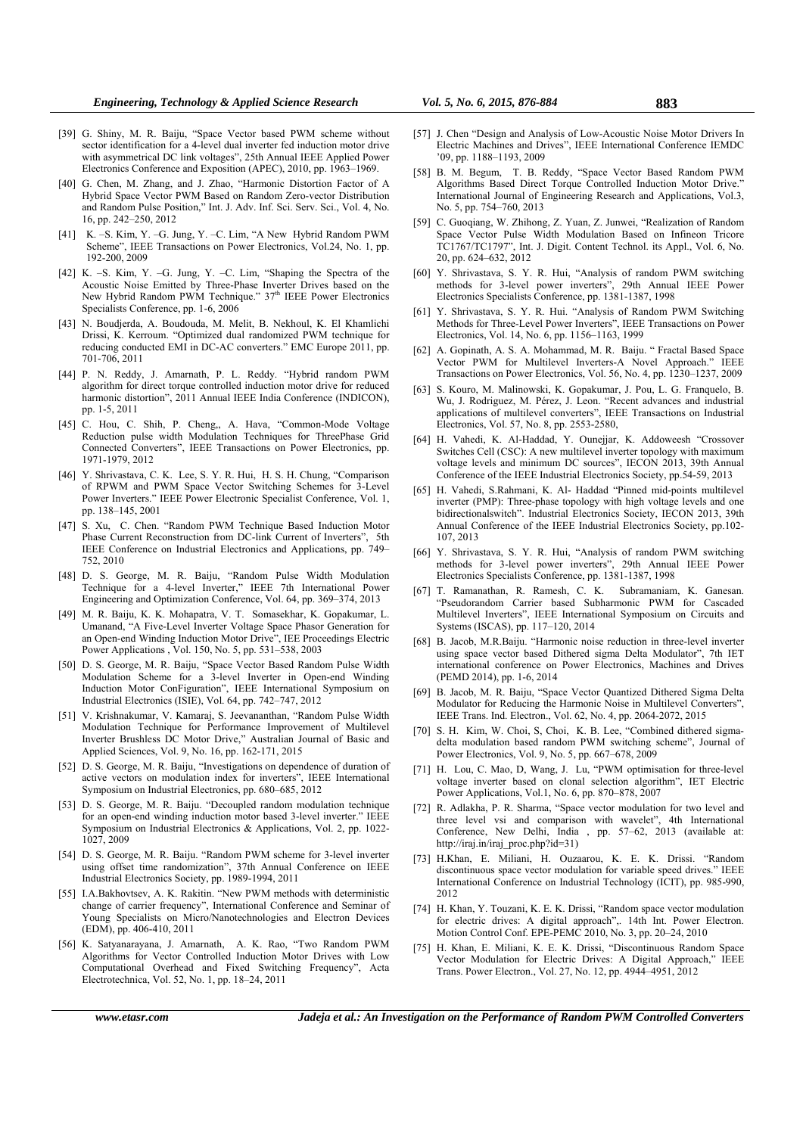- [39] G. Shiny, M. R. Baiju, "Space Vector based PWM scheme without sector identification for a 4-level dual inverter fed induction motor drive with asymmetrical DC link voltages", 25th Annual IEEE Applied Power Electronics Conference and Exposition (APEC), 2010, pp. 1963–1969.
- [40] G. Chen, M. Zhang, and J. Zhao, "Harmonic Distortion Factor of A Hybrid Space Vector PWM Based on Random Zero-vector Distribution and Random Pulse Position," Int. J. Adv. Inf. Sci. Serv. Sci., Vol. 4, No. 16, pp. 242–250, 2012
- [41] K. –S. Kim, Y. –G. Jung, Y. –C. Lim, "A New Hybrid Random PWM Scheme", IEEE Transactions on Power Electronics, Vol.24, No. 1, pp. 192-200, 2009
- [42] K. –S. Kim, Y. –G. Jung, Y. –C. Lim, "Shaping the Spectra of the Acoustic Noise Emitted by Three-Phase Inverter Drives based on the New Hybrid Random PWM Technique." 37<sup>th</sup> IEEE Power Electronics Specialists Conference, pp. 1-6, 2006
- [43] N. Boudjerda, A. Boudouda, M. Melit, B. Nekhoul, K. El Khamlichi Drissi, K. Kerroum. "Optimized dual randomized PWM technique for reducing conducted EMI in DC-AC converters." EMC Europe 2011, pp. 701-706, 2011
- [44] P. N. Reddy, J. Amarnath, P. L. Reddy. "Hybrid random PWM algorithm for direct torque controlled induction motor drive for reduced harmonic distortion", 2011 Annual IEEE India Conference (INDICON), pp. 1-5, 2011
- [45] C. Hou, C. Shih, P. Cheng,, A. Hava, "Common-Mode Voltage Reduction pulse width Modulation Techniques for ThreePhase Grid Connected Converters", IEEE Transactions on Power Electronics, pp. 1971-1979, 2012
- [46] Y. Shrivastava, C. K. Lee, S. Y. R. Hui, H. S. H. Chung, "Comparison of RPWM and PWM Space Vector Switching Schemes for 3-Level Power Inverters." IEEE Power Electronic Specialist Conference, Vol. 1, pp. 138–145, 2001
- [47] S. Xu, C. Chen. "Random PWM Technique Based Induction Motor Phase Current Reconstruction from DC-link Current of Inverters", 5th IEEE Conference on Industrial Electronics and Applications, pp. 749– 752, 2010
- [48] D. S. George, M. R. Baiju, "Random Pulse Width Modulation Technique for a 4-level Inverter," IEEE 7th International Power Engineering and Optimization Conference, Vol. 64, pp. 369–374, 2013
- [49] M. R. Baiju, K. K. Mohapatra, V. T. Somasekhar, K. Gopakumar, L. Umanand, "A Five-Level Inverter Voltage Space Phasor Generation for an Open-end Winding Induction Motor Drive", IEE Proceedings Electric Power Applications , Vol. 150, No. 5, pp. 531–538, 2003
- [50] D. S. George, M. R. Baiju, "Space Vector Based Random Pulse Width Modulation Scheme for a 3-level Inverter in Open-end Winding Induction Motor ConFiguration", IEEE International Symposium on Industrial Electronics (ISIE), Vol. 64, pp. 742–747, 2012
- [51] V. Krishnakumar, V. Kamaraj, S. Jeevananthan, "Random Pulse Width Modulation Technique for Performance Improvement of Multilevel Inverter Brushless DC Motor Drive," Australian Journal of Basic and Applied Sciences, Vol. 9, No. 16, pp. 162-171, 2015
- [52] D. S. George, M. R. Baiju, "Investigations on dependence of duration of active vectors on modulation index for inverters", IEEE International Symposium on Industrial Electronics, pp. 680–685, 2012
- [53] D. S. George, M. R. Baiju. "Decoupled random modulation technique for an open-end winding induction motor based 3-level inverter." IEEE Symposium on Industrial Electronics & Applications, Vol. 2, pp. 1022- 1027, 2009
- [54] D. S. George, M. R. Baiju. "Random PWM scheme for 3-level inverter using offset time randomization", 37th Annual Conference on IEEE Industrial Electronics Society, pp. 1989-1994, 2011
- [55] I.A.Bakhovtsev, A. K. Rakitin. "New PWM methods with deterministic change of carrier frequency", International Conference and Seminar of Young Specialists on Micro/Nanotechnologies and Electron Devices (EDM), pp. 406-410, 2011
- [56] K. Satyanarayana, J. Amarnath, A. K. Rao, "Two Random PWM Algorithms for Vector Controlled Induction Motor Drives with Low Computational Overhead and Fixed Switching Frequency", Acta Electrotechnica, Vol. 52, No. 1, pp. 18–24, 2011
- [57] J. Chen "Design and Analysis of Low-Acoustic Noise Motor Drivers In Electric Machines and Drives", IEEE International Conference IEMDC '09, pp. 1188–1193, 2009
- [58] B. M. Begum, T. B. Reddy, "Space Vector Based Random PWM Algorithms Based Direct Torque Controlled Induction Motor Drive." International Journal of Engineering Research and Applications, Vol.3, No. 5, pp. 754–760, 2013
- [59] C. Guoqiang, W. Zhihong, Z. Yuan, Z. Junwei, "Realization of Random Space Vector Pulse Width Modulation Based on Infineon Tricore TC1767/TC1797", Int. J. Digit. Content Technol. its Appl., Vol. 6, No. 20, pp. 624–632, 2012
- [60] Y. Shrivastava, S. Y. R. Hui, "Analysis of random PWM switching methods for 3-level power inverters", 29th Annual IEEE Power Electronics Specialists Conference, pp. 1381-1387, 1998
- [61] Y. Shrivastava, S. Y. R. Hui. "Analysis of Random PWM Switching Methods for Three-Level Power Inverters", IEEE Transactions on Power Electronics, Vol. 14, No. 6, pp. 1156–1163, 1999
- [62] A. Gopinath, A. S. A. Mohammad, M. R. Baiju. " Fractal Based Space Vector PWM for Multilevel Inverters-A Novel Approach." IEEE Transactions on Power Electronics, Vol. 56, No. 4, pp. 1230–1237, 2009
- [63] S. Kouro, M. Malinowski, K. Gopakumar, J. Pou, L. G. Franquelo, B. Wu, J. Rodriguez, M. Pérez, J. Leon. "Recent advances and industrial applications of multilevel converters", IEEE Transactions on Industrial Electronics, Vol. 57, No. 8, pp. 2553-2580,
- [64] H. Vahedi, K. Al-Haddad, Y. Ounejjar, K. Addoweesh "Crossover Switches Cell (CSC): A new multilevel inverter topology with maximum voltage levels and minimum DC sources", IECON 2013, 39th Annual Conference of the IEEE Industrial Electronics Society, pp.54-59, 2013
- [65] H. Vahedi, S.Rahmani, K. Al- Haddad "Pinned mid-points multilevel inverter (PMP): Three-phase topology with high voltage levels and one bidirectionalswitch". Industrial Electronics Society, IECON 2013, 39th Annual Conference of the IEEE Industrial Electronics Society, pp.102- 107, 2013
- [66] Y. Shrivastava, S. Y. R. Hui, "Analysis of random PWM switching methods for 3-level power inverters", 29th Annual IEEE Power Electronics Specialists Conference, pp. 1381-1387, 1998
- [67] T. Ramanathan, R. Ramesh, C. K. Subramaniam, K. Ganesan. "Pseudorandom Carrier based Subharmonic PWM for Cascaded Multilevel Inverters", IEEE International Symposium on Circuits and Systems (ISCAS), pp. 117–120, 2014
- [68] B. Jacob, M.R.Baiju. "Harmonic noise reduction in three-level inverter using space vector based Dithered sigma Delta Modulator", 7th IET international conference on Power Electronics, Machines and Drives (PEMD 2014), pp. 1-6, 2014
- [69] B. Jacob, M. R. Baiju, "Space Vector Quantized Dithered Sigma Delta Modulator for Reducing the Harmonic Noise in Multilevel Converters", IEEE Trans. Ind. Electron., Vol. 62, No. 4, pp. 2064-2072, 2015
- [70] S. H. Kim, W. Choi, S. Choi, K. B. Lee, "Combined dithered sigmadelta modulation based random PWM switching scheme", Journal of Power Electronics, Vol. 9, No. 5, pp. 667–678, 2009
- [71] H. Lou, C. Mao, D, Wang, J. Lu, "PWM optimisation for three-level voltage inverter based on clonal selection algorithm", IET Electric Power Applications, Vol.1, No. 6, pp. 870–878, 2007
- [72] R. Adlakha, P. R. Sharma, "Space vector modulation for two level and three level vsi and comparison with wavelet", 4th International Conference, New Delhi, India , pp. 57–62, 2013 (available at: http://iraj.in/iraj\_proc.php?id=31)
- [73] H.Khan, E. Miliani, H. Ouzaarou, K. E. K. Drissi. "Random discontinuous space vector modulation for variable speed drives." IEEE International Conference on Industrial Technology (ICIT), pp. 985-990, 2012
- [74] H. Khan, Y. Touzani, K. E. K. Drissi, "Random space vector modulation for electric drives: A digital approach",. 14th Int. Power Electron. Motion Control Conf. EPE-PEMC 2010, No. 3, pp. 20–24, 2010
- [75] H. Khan, E. Miliani, K. E. K. Drissi, "Discontinuous Random Space Vector Modulation for Electric Drives: A Digital Approach," IEEE Trans. Power Electron., Vol. 27, No. 12, pp. 4944–4951, 2012